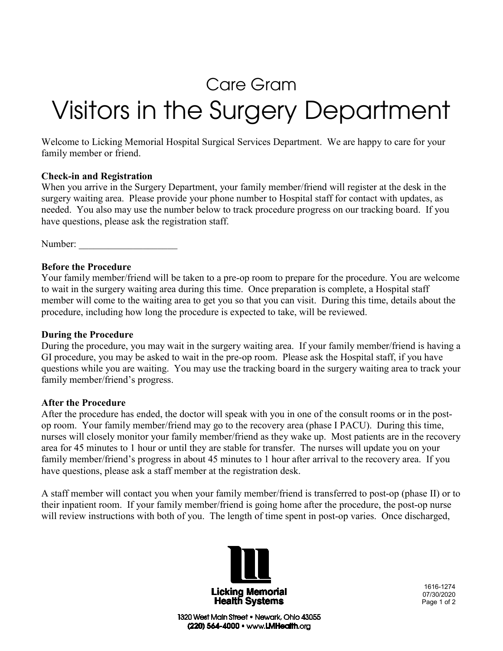# Care Gram

# Visitors in the Surgery Department

Welcome to Licking Memorial Hospital Surgical Services Department. We are happy to care for your family member or friend.

#### **Check-in and Registration**

When you arrive in the Surgery Department, your family member/friend will register at the desk in the surgery waiting area. Please provide your phone number to Hospital staff for contact with updates, as needed. You also may use the number below to track procedure progress on our tracking board. If you have questions, please ask the registration staff.

Number:

# **Before the Procedure**

Your family member/friend will be taken to a pre-op room to prepare for the procedure. You are welcome to wait in the surgery waiting area during this time. Once preparation is complete, a Hospital staff member will come to the waiting area to get you so that you can visit. During this time, details about the procedure, including how long the procedure is expected to take, will be reviewed.

#### **During the Procedure**

During the procedure, you may wait in the surgery waiting area. If your family member/friend is having a GI procedure, you may be asked to wait in the pre-op room. Please ask the Hospital staff, if you have questions while you are waiting. You may use the tracking board in the surgery waiting area to track your family member/friend's progress.

#### **After the Procedure**

After the procedure has ended, the doctor will speak with you in one of the consult rooms or in the postop room. Your family member/friend may go to the recovery area (phase I PACU). During this time, nurses will closely monitor your family member/friend as they wake up. Most patients are in the recovery area for 45 minutes to 1 hour or until they are stable for transfer. The nurses will update you on your family member/friend's progress in about 45 minutes to 1 hour after arrival to the recovery area. If you have questions, please ask a staff member at the registration desk.

A staff member will contact you when your family member/friend is transferred to post-op (phase II) or to their inpatient room. If your family member/friend is going home after the procedure, the post-op nurse will review instructions with both of you. The length of time spent in post-op varies. Once discharged,



1616-1274 07/30/2020 Page 1 of 2

1320 West Main Street . Newark, Ohio 43055 (220) 564-4000 · www.LMHealth.org